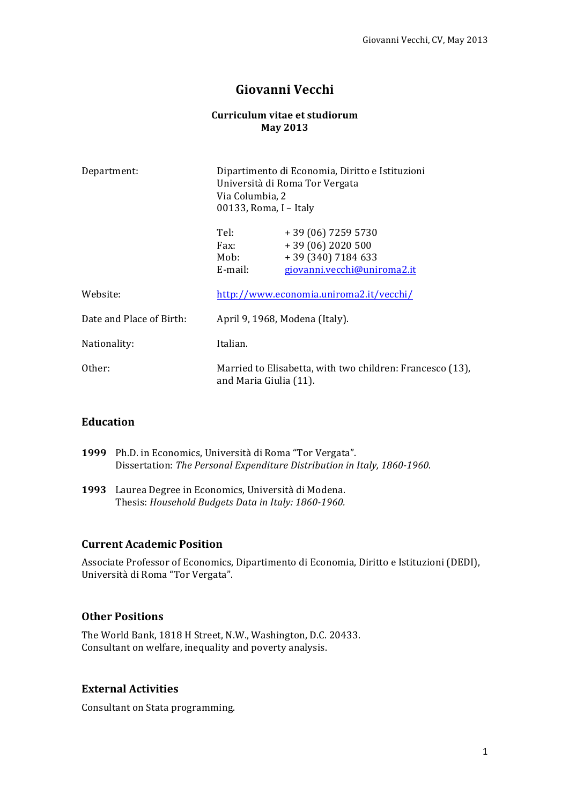# **Giovanni Vecchi**

#### **Curriculum vitae et studiorum May 2013**

| Department:              | Dipartimento di Economia, Diritto e Istituzioni<br>Università di Roma Tor Vergata<br>Via Columbia, 2<br>00133, Roma, I - Italy |                                                                                           |
|--------------------------|--------------------------------------------------------------------------------------------------------------------------------|-------------------------------------------------------------------------------------------|
|                          | Tel:<br>Fax:<br>Mob:<br>E-mail:                                                                                                | $+39(06)72595730$<br>$+39(06)2020500$<br>$+39(340)7184633$<br>giovanni.vecchi@uniroma2.it |
| Website:                 |                                                                                                                                | http://www.economia.uniroma2.it/vecchi/                                                   |
| Date and Place of Birth: | April 9, 1968, Modena (Italy).                                                                                                 |                                                                                           |
| Nationality:             | Italian.                                                                                                                       |                                                                                           |
| Other:                   | Married to Elisabetta, with two children: Francesco (13),<br>and Maria Giulia (11).                                            |                                                                                           |

### **Education**

| 1999 Ph.D. in Economics, Università di Roma "Tor Vergata".               |  |
|--------------------------------------------------------------------------|--|
| Dissertation: The Personal Expenditure Distribution in Italy, 1860-1960. |  |

1993 Laurea Degree in Economics, Università di Modena. Thesis: *Household Budgets Data in Italy: 1860-1960.* 

## **Current Academic Position**

Associate Professor of Economics, Dipartimento di Economia, Diritto e Istituzioni (DEDI), Università di Roma "Tor Vergata".

### **Other Positions**

The World Bank, 1818 H Street, N.W., Washington, D.C. 20433. Consultant on welfare, inequality and poverty analysis.

#### **External Activities**

Consultant on Stata programming.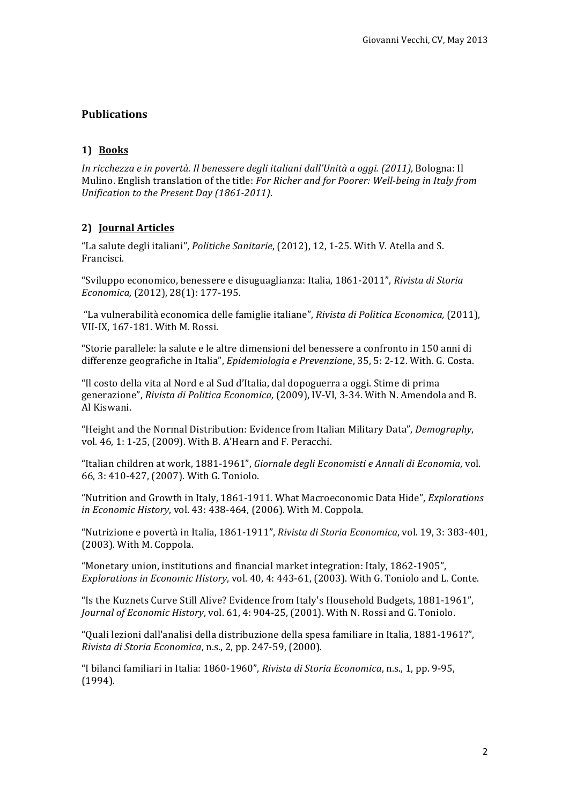## **Publications**

#### **1) Books**

*In ricchezza e in povertà. Il benessere degli italiani dall'Unità a oggi. (2011), Bologna: Il* Mulino. English translation of the title: *For Richer and for Poorer: Well-being in Italy from Unification to the Present Day (1861-2011).* 

### **2) Journal Articles**

"La salute degli italiani", *Politiche Sanitarie*, (2012), 12, 1-25. With V. Atella and S. Francisci.

"Sviluppo economico, benessere e disuguaglianza: Italia, 1861-2011", *Rivista di Storia Economica,* (2012), 28(1): 177-195.

"La vulnerabilità economica delle famiglie italiane", *Rivista di Politica Economica*, (2011), VII-IX, 167-181. With M. Rossi.

"Storie parallele: la salute e le altre dimensioni del benessere a confronto in 150 anni di differenze geografiche in Italia", *Epidemiologia e Prevenzione*, 35, 5: 2-12. With. G. Costa.

"Il costo della vita al Nord e al Sud d'Italia, dal dopoguerra a oggi. Stime di prima generazione", *Rivista di Politica Economica*, (2009), IV-VI, 3-34. With N. Amendola and B. Al Kiswani.

"Height and the Normal Distribution: Evidence from Italian Military Data", *Demography*, vol. 46, 1: 1-25, (2009). With B. A'Hearn and F. Peracchi.

"Italian children at work, 1881-1961", Giornale degli Economisti e Annali di Economia, vol. 66, 3: 410-427, (2007). With G. Toniolo.

"Nutrition and Growth in Italy, 1861-1911. What Macroeconomic Data Hide", *Explorations in Economic History*, vol. 43: 438-464, (2006). With M. Coppola.

"Nutrizione e povertà in Italia, 1861-1911", *Rivista di Storia Economica*, vol. 19, 3: 383-401,  $(2003)$ . With M. Coppola.

"Monetary union, institutions and financial market integration: Italy, 1862-1905", *Explorations in Economic History, vol.* 40, 4: 443-61, (2003). With G. Toniolo and L. Conte.

"Is the Kuznets Curve Still Alive? Evidence from Italy's Household Budgets, 1881-1961", *Journal of Economic History, vol.* 61, 4: 904-25, (2001). With N. Rossi and G. Toniolo.

"Quali lezioni dall'analisi della distribuzione della spesa familiare in Italia, 1881-1961?", *Rivista di Storia Economica*, n.s., 2, pp. 247-59, (2000).

"I bilanci familiari in Italia: 1860-1960", *Rivista di Storia Economica*, n.s., 1, pp. 9-95, (1994).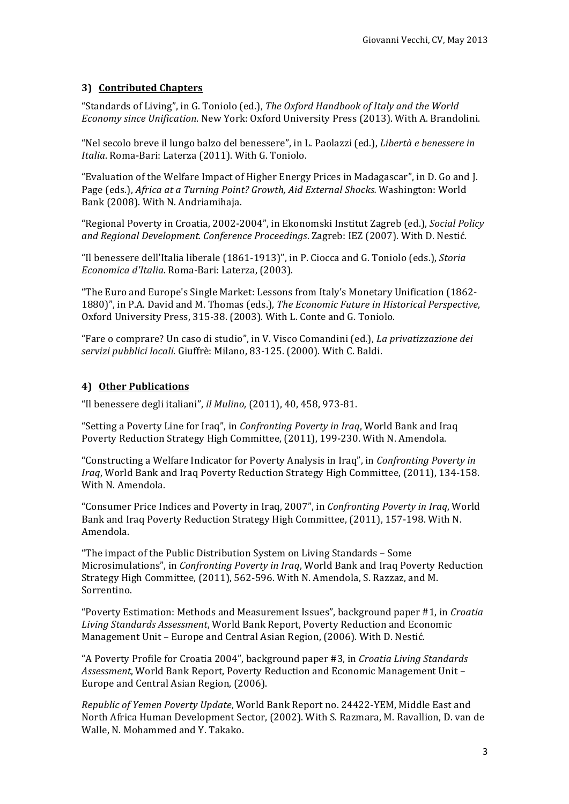## **3) Contributed Chapters**

"Standards of Living", in G. Toniolo (ed.), *The Oxford Handbook of Italy and the World Economy since Unification*. New York: Oxford University Press (2013). With A. Brandolini.

"Nel secolo breve il lungo balzo del benessere", in L. Paolazzi (ed.), *Libertà e benessere in Italia*. Roma-Bari: Laterza (2011). With G. Toniolo.

"Evaluation of the Welfare Impact of Higher Energy Prices in Madagascar", in D. Go and J. Page (eds.), *Africa at a Turning Point? Growth, Aid External Shocks.* Washington: World Bank (2008). With N. Andriamihaja.

"Regional Poverty in Croatia, 2002-2004", in Ekonomski Institut Zagreb (ed.), *Social Policy and Regional Development. Conference Proceedings*. Zagreb: IEZ (2007). With D. Nestić.

"Il benessere dell'Italia liberale (1861-1913)", in P. Ciocca and G. Toniolo (eds.), *Storia Economica d'Italia*. Roma-Bari: Laterza, (2003).

"The Euro and Europe's Single Market: Lessons from Italy's Monetary Unification (1862-1880)", in P.A. David and M. Thomas (eds.), *The Economic Future in Historical Perspective*, Oxford University Press, 315-38. (2003). With L. Conte and G. Toniolo.

"Fare o comprare? Un caso di studio", in V. Visco Comandini (ed.), *La privatizzazione dei* servizi pubblici locali. Giuffrè: Milano, 83-125. (2000). With C. Baldi.

#### **4) Other Publications**

"Il benessere degli italiani", *il Mulino*, (2011), 40, 458, 973-81.

"Setting a Poverty Line for Iraq", in *Confronting Poverty in Irag*, World Bank and Iraq Poverty Reduction Strategy High Committee, (2011), 199-230. With N. Amendola.

"Constructing a Welfare Indicator for Poverty Analysis in Iraq", in *Confronting Poverty in Iraq*, World Bank and Iraq Poverty Reduction Strategy High Committee, (2011), 134-158. With N. Amendola.

"Consumer Price Indices and Poverty in Iraq, 2007", in *Confronting Poverty in Iraq*, World Bank and Iraq Poverty Reduction Strategy High Committee, (2011), 157-198. With N. Amendola.

"The impact of the Public Distribution System on Living Standards - Some Microsimulations", in *Confronting Poverty in Iraq*, World Bank and Iraq Poverty Reduction Strategy High Committee, (2011), 562-596. With N. Amendola, S. Razzaz, and M. Sorrentino.

"Poverty Estimation: Methods and Measurement Issues", background paper #1, in *Croatia* Living Standards Assessment, World Bank Report, Poverty Reduction and Economic Management Unit – Europe and Central Asian Region, (2006). With D. Nestić.

"A Poverty Profile for Croatia 2004", background paper #3, in *Croatia Living Standards* Assessment, World Bank Report, Poverty Reduction and Economic Management Unit -Europe and Central Asian Region, (2006).

*Republic of Yemen Poverty Update*, World Bank Report no. 24422-YEM, Middle East and North Africa Human Development Sector, (2002). With S. Razmara, M. Ravallion, D. van de Walle, N. Mohammed and Y. Takako.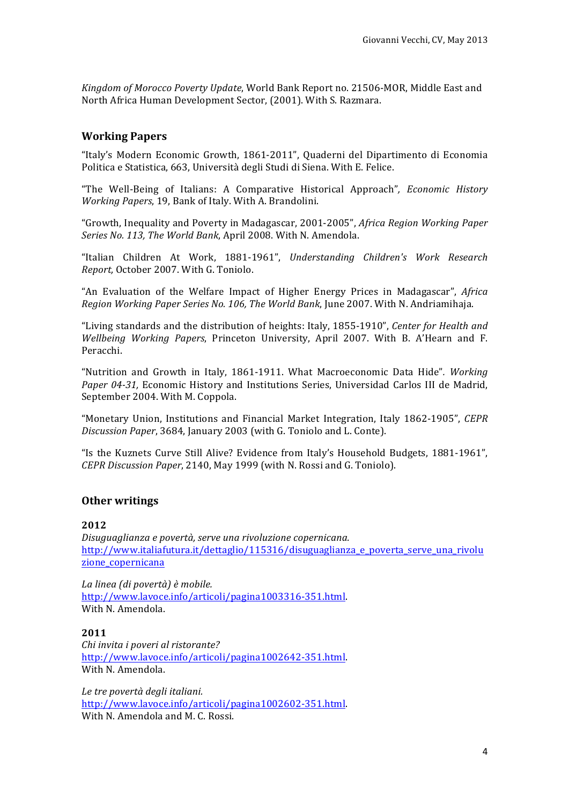Kingdom of Morocco Poverty Update, World Bank Report no. 21506-MOR, Middle East and North Africa Human Development Sector, (2001). With S. Razmara.

### **Working Papers**

"Italy's Modern Economic Growth, 1861-2011", Quaderni del Dipartimento di Economia Politica e Statistica, 663, Università degli Studi di Siena. With E. Felice.

"The Well-Being of Italians: A Comparative Historical Approach", *Economic History Working Papers*, 19, Bank of Italy. With A. Brandolini.

"Growth, Inequality and Poverty in Madagascar, 2001-2005", *Africa Region Working Paper* Series No. 113, The World Bank, April 2008. With N. Amendola.

"Italian Children At Work, 1881-1961", *Understanding Children's Work Research Report, October 2007.* With G. Toniolo.

"An Evaluation of the Welfare Impact of Higher Energy Prices in Madagascar", *Africa Region Working Paper Series No. 106, The World Bank*, June 2007. With N. Andriamihaja.

"Living standards and the distribution of heights: Italy, 1855-1910", Center for Health and *Wellbeing Working Papers*, Princeton University, April 2007. With B. A'Hearn and F. Peracchi.

"Nutrition and Growth in Italy, 1861-1911. What Macroeconomic Data Hide". Working Paper 04-31, Economic History and Institutions Series, Universidad Carlos III de Madrid, September 2004. With M. Coppola.

"Monetary Union, Institutions and Financial Market Integration, Italy 1862-1905", CEPR *Discussion Paper*, 3684, January 2003 (with G. Toniolo and L. Conte).

"Is the Kuznets Curve Still Alive? Evidence from Italy's Household Budgets, 1881-1961", *CEPR Discussion Paper*, 2140, May 1999 (with N. Rossi and G. Toniolo).

#### **Other writings**

#### **2012**

*Disuguaglianza e povertà, serve una rivoluzione copernicana.* http://www.italiafutura.it/dettaglio/115316/disuguaglianza\_e\_poverta\_serve\_una\_rivolu zione copernicana

*La linea (di povertà) è mobile.* http://www.lavoce.info/articoli/pagina1003316-351.html. With N. Amendola.

#### **2011**

*Chi invita i poveri al ristorante?* http://www.lavoce.info/articoli/pagina1002642-351.html. With N. Amendola.

*Le tre povertà degli italiani.* http://www.lavoce.info/articoli/pagina1002602-351.html. With N. Amendola and M. C. Rossi.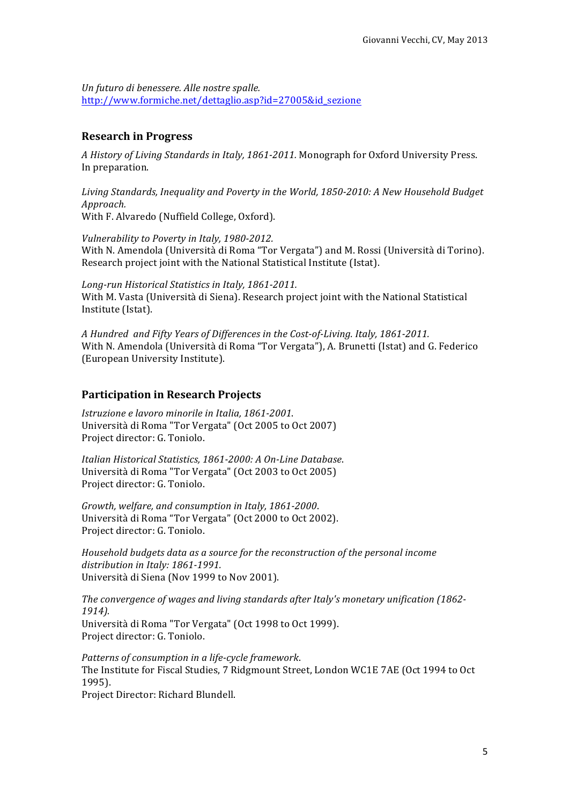*Un futuro di benessere. Alle nostre spalle.* http://www.formiche.net/dettaglio.asp?id=27005&id\_sezione

### **Research in Progress**

A History of Living Standards in Italy, 1861-2011. Monograph for Oxford University Press. In preparation.

Living Standards, Inequality and Poverty in the World, 1850-2010: A New Household Budget *Approach.*  With F. Alvaredo (Nuffield College, Oxford).

*Vulnerability to Poverty in Italy, 1980-2012.* With N. Amendola (Università di Roma "Tor Vergata") and M. Rossi (Università di Torino). Research project joint with the National Statistical Institute (Istat).

*Long-run Historical Statistics in Italy, 1861-2011.* With M. Vasta (Università di Siena). Research project joint with the National Statistical Institute (Istat).

*A* Hundred and Fifty Years of Differences in the Cost-of-Living. Italy, 1861-2011. With N. Amendola (Università di Roma "Tor Vergata"), A. Brunetti (Istat) and G. Federico (European University Institute).

### **Participation in Research Projects**

*Istruzione e lavoro minorile in Italia, 1861-2001*. Università di Roma "Tor Vergata" (Oct 2005 to Oct 2007) Project director: G. Toniolo.

*Italian Historical Statistics, 1861-2000: A On-Line Database*. Università di Roma "Tor Vergata" (Oct 2003 to Oct 2005) Project director: G. Toniolo.

*Growth, welfare, and consumption in Italy, 1861-2000*. Università di Roma "Tor Vergata" (Oct 2000 to Oct 2002). Project director: G. Toniolo.

Household budgets data as a source for the reconstruction of the personal income distribution in Italy: 1861-1991. Università di Siena (Nov 1999 to Nov 2001).

The convergence of wages and living standards after Italy's monetary unification (1862-*1914).* Università di Roma "Tor Vergata" (Oct 1998 to Oct 1999). Project director: G. Toniolo.

*Patterns of consumption in a life-cycle framework*. The Institute for Fiscal Studies, 7 Ridgmount Street, London WC1E 7AE (Oct 1994 to Oct 1995). 

Project Director: Richard Blundell.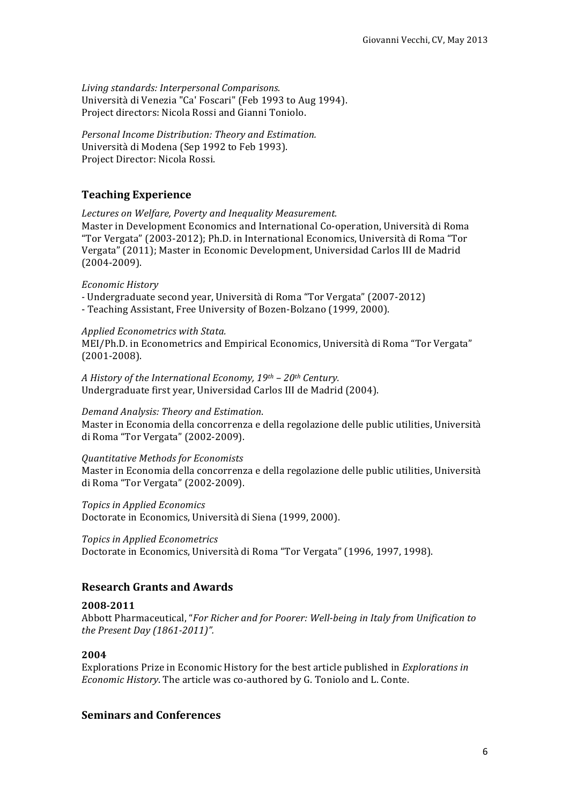*Living standards: Interpersonal Comparisons.* Università di Venezia "Ca' Foscari" (Feb 1993 to Aug 1994). Project directors: Nicola Rossi and Gianni Toniolo.

*Personal Income Distribution: Theory and Estimation.* Università di Modena (Sep 1992 to Feb 1993). Project Director: Nicola Rossi.

## **Teaching Experience**

Lectures on Welfare, Poverty and Inequality Measurement. Master in Development Economics and International Co-operation, Università di Roma "Tor Vergata" (2003-2012); Ph.D. in International Economics, Università di Roma "Tor Vergata" (2011); Master in Economic Development, Universidad Carlos III de Madrid (2004-2009).

### *Economic History*

*-* Undergraduate second year, Università di Roma "Tor Vergata" (2007-2012)

- Teaching Assistant, Free University of Bozen-Bolzano (1999, 2000).

#### *Applied Econometrics with Stata.*

MEI/Ph.D. in Econometrics and Empirical Economics, Università di Roma "Tor Vergata" (2001-2008).

*A History of the International Economy, 19th – 20th Century.* Undergraduate first year, Universidad Carlos III de Madrid (2004).

#### *Demand Analysis: Theory and Estimation*.

Master in Economia della concorrenza e della regolazione delle public utilities, Università di Roma "Tor Vergata" (2002-2009).

#### *Quantitative Methods for Economists*

Master in Economia della concorrenza e della regolazione delle public utilities, Università di Roma "Tor Vergata" (2002-2009).

*Topics in Applied Economics*

Doctorate in Economics, Università di Siena (1999, 2000).

*Topics in Applied Econometrics* Doctorate in Economics, Università di Roma "Tor Vergata" (1996, 1997, 1998).

### **Research Grants and Awards**

### **2008-2011**

Abbott Pharmaceutical, "*For Richer and for Poorer: Well-being in Italy from Unification to the Present Day (1861-2011)".*

### **2004**

Explorations Prize in Economic History for the best article published in *Explorations in Economic History*. The article was co-authored by G. Toniolo and L. Conte.

### **Seminars and Conferences**